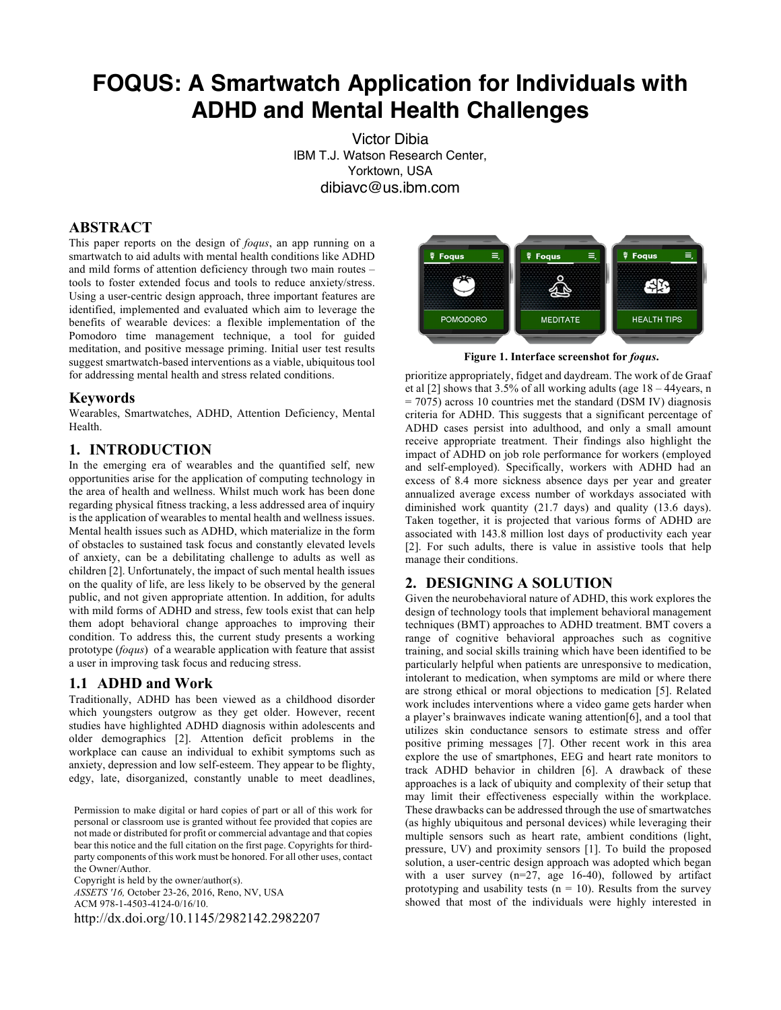# **FOQUS: A Smartwatch Application for Individuals with ADHD and Mental Health Challenges**

 IBM T.J. Watson Research Center, Victor Dibia Yorktown, USA dibiavc@us.ibm.com

# **ABSTRACT**

 This paper reports on the design of *foqus*, an app running on a smartwatch to aid adults with mental health conditions like ADHD and mild forms of attention deficiency through two main routes – tools to foster extended focus and tools to reduce anxiety/stress. Using a user-centric design approach, three important features are identified, implemented and evaluated which aim to leverage the benefits of wearable devices: a flexible implementation of the Pomodoro time management technique, a tool for guided meditation, and positive message priming. Initial user test results suggest smartwatch-based interventions as a viable, ubiquitous tool for addressing mental health and stress related conditions.

#### **Keywords**

 Wearables, Smartwatches, ADHD, Attention Deficiency, Mental Health.

#### **1. INTRODUCTION**

 In the emerging era of wearables and the quantified self, new opportunities arise for the application of computing technology in the area of health and wellness. Whilst much work has been done regarding physical fitness tracking, a less addressed area of inquiry is the application of wearables to mental health and wellness issues. Mental health issues such as ADHD, which materialize in the form of obstacles to sustained task focus and constantly elevated levels of anxiety, can be a debilitating challenge to adults as well as children [2]. Unfortunately, the impact of such mental health issues on the quality of life, are less likely to be observed by the general public, and not given appropriate attention. In addition, for adults with mild forms of ADHD and stress, few tools exist that can help them adopt behavioral change approaches to improving their condition. To address this, the current study presents a working prototype (*foqus*) of a wearable application with feature that assist a user in improving task focus and reducing stress.

#### **1.1 ADHD and Work**

 Traditionally, ADHD has been viewed as a childhood disorder which youngsters outgrow as they get older. However, recent studies have highlighted ADHD diagnosis within adolescents and older demographics [2]. Attention deficit problems in the workplace can cause an individual to exhibit symptoms such as anxiety, depression and low self-esteem. They appear to be flighty, edgy, late, disorganized, constantly unable to meet deadlines,

 Permission to make digital or hard copies of part or all of this work for personal or classroom use is granted without fee provided that copies are not made or distributed for profit or commercial advantage and that copies bear this notice and the full citation on the first page. Copyrights for third- party components of this work must be honored. For all other uses, contact the Owner/Author.

 Copyright is held by the owner/author(s).  *ASSETS '16,* October 23-26, 2016, Reno, NV, USA ACM 978-1-4503-4124-0/16/10. http://dx.doi.org/10.1145/2982142.2982207



 **Figure 1. Interface screenshot for** *foqus***.** 

 prioritize appropriately, fidget and daydream. The work of de Graaf et al [2] shows that 3.5% of all working adults (age 18 – 44years, n = 7075) across 10 countries met the standard (DSM IV) diagnosis criteria for ADHD. This suggests that a significant percentage of ADHD cases persist into adulthood, and only a small amount receive appropriate treatment. Their findings also highlight the impact of ADHD on job role performance for workers (employed and self-employed). Specifically, workers with ADHD had an excess of 8.4 more sickness absence days per year and greater annualized average excess number of workdays associated with Taken together, it is projected that various forms of ADHD are associated with 143.8 million lost days of productivity each year [2]. For such adults, there is value in assistive tools that help diminished work quantity (21.7 days) and quality (13.6 days). manage their conditions.

#### **2. DESIGNING A SOLUTION**

 Given the neurobehavioral nature of ADHD, this work explores the design of technology tools that implement behavioral management techniques (BMT) approaches to ADHD treatment. BMT covers a range of cognitive behavioral approaches such as cognitive training, and social skills training which have been identified to be intolerant to medication, when symptoms are mild or where there are strong ethical or moral objections to medication [5]. Related work includes interventions where a video game gets harder when a player's brainwaves indicate waning attention[6], and a tool that utilizes skin conductance sensors to estimate stress and offer positive priming messages [7]. Other recent work in this area explore the use of smartphones, EEG and heart rate monitors to track ADHD behavior in children [6]. A drawback of these approaches is a lack of ubiquity and complexity of their setup that may limit their effectiveness especially within the workplace. These drawbacks can be addressed through the use of smartwatches (as highly ubiquitous and personal devices) while leveraging their multiple sensors such as heart rate, ambient conditions (light, pressure, UV) and proximity sensors [1]. To build the proposed solution, a user-centric design approach was adopted which began with a user survey (n=27, age 16-40), followed by artifact prototyping and usability tests  $(n = 10)$ . Results from the survey showed that most of the individuals were highly interested in particularly helpful when patients are unresponsive to medication,